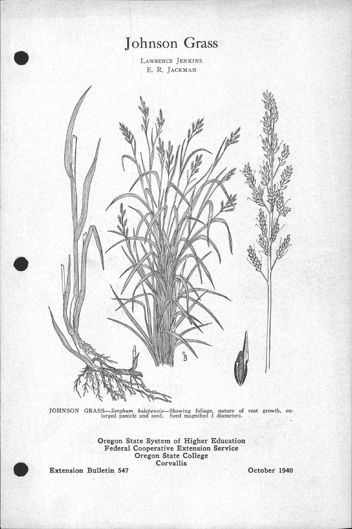## Johnson Grass

LAWRENCE JENKINS E. R. JACKMAN



JOHNSON GRASS—Sorghum halepensis—Showing foliage, nature of root growth, enlarged panicle and seed. Seed magnified 3 diameters.

Oregon State System of Higher Education Federal Cooperative Extension Service Oregon State College<br>Corvallis Extension Bulletin 547 Corvallis Corvallis Corverse Corvallis Corverse Corvallis Coronave Corverse Corverse Corverse Corverse Corverse Corverse Corverse Corverse Corverse Corverse Corverse Corverse Corverse Corverse Corver